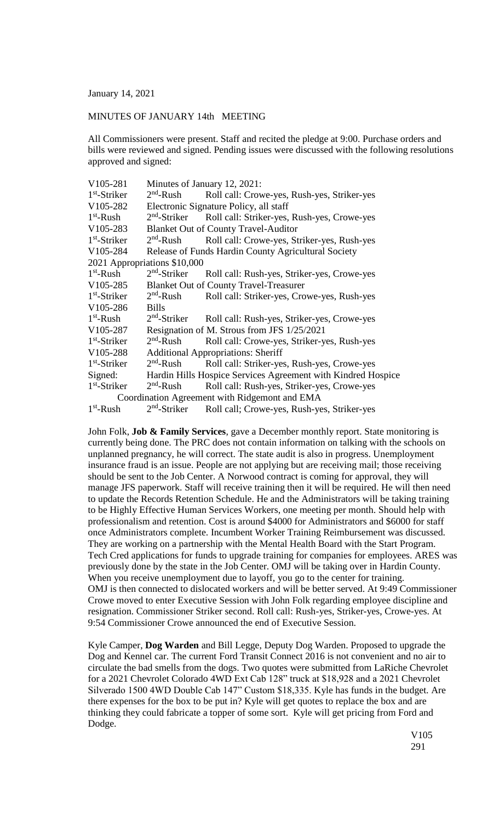January 14, 2021

## MINUTES OF JANUARY 14th MEETING

All Commissioners were present. Staff and recited the pledge at 9:00. Purchase orders and bills were reviewed and signed. Pending issues were discussed with the following resolutions approved and signed:

| V105-281                                      |                                               | Minutes of January 12, 2021:                                 |  |
|-----------------------------------------------|-----------------------------------------------|--------------------------------------------------------------|--|
| $1st$ -Striker                                | $2nd$ -Rush                                   | Roll call: Crowe-yes, Rush-yes, Striker-yes                  |  |
| V105-282                                      | Electronic Signature Policy, all staff        |                                                              |  |
| $1st$ -Rush                                   | $2nd$ -Striker                                | Roll call: Striker-yes, Rush-yes, Crowe-yes                  |  |
| V105-283                                      | <b>Blanket Out of County Travel-Auditor</b>   |                                                              |  |
| $1st$ -Striker                                | $2nd$ -Rush                                   | Roll call: Crowe-yes, Striker-yes, Rush-yes                  |  |
| V105-284                                      |                                               | Release of Funds Hardin County Agricultural Society          |  |
| 2021 Appropriations \$10,000                  |                                               |                                                              |  |
| $1st$ -Rush                                   | $2nd$ -Striker                                | Roll call: Rush-yes, Striker-yes, Crowe-yes                  |  |
| V105-285                                      | <b>Blanket Out of County Travel-Treasurer</b> |                                                              |  |
| $1st$ -Striker                                | $2nd$ -Rush                                   | Roll call: Striker-yes, Crowe-yes, Rush-yes                  |  |
| V105-286                                      | <b>Bills</b>                                  |                                                              |  |
| $1st$ -Rush                                   | $2nd$ -Striker                                | Roll call: Rush-yes, Striker-yes, Crowe-yes                  |  |
| V105-287                                      |                                               | Resignation of M. Strous from JFS 1/25/2021                  |  |
| $1st$ -Striker                                | $2nd$ -Rush                                   | Roll call: Crowe-yes, Striker-yes, Rush-yes                  |  |
| V105-288                                      | <b>Additional Appropriations: Sheriff</b>     |                                                              |  |
| $1st$ -Striker                                | $2nd$ -Rush                                   | Roll call: Striker-yes, Rush-yes, Crowe-yes                  |  |
| Signed:                                       |                                               | Hardin Hills Hospice Services Agreement with Kindred Hospice |  |
| $1st$ -Striker                                | $2nd$ -Rush                                   | Roll call: Rush-yes, Striker-yes, Crowe-yes                  |  |
| Coordination Agreement with Ridgemont and EMA |                                               |                                                              |  |
| $1st$ -Rush                                   | $2nd$ -Striker                                | Roll call; Crowe-yes, Rush-yes, Striker-yes                  |  |

John Folk, **Job & Family Services**, gave a December monthly report. State monitoring is currently being done. The PRC does not contain information on talking with the schools on unplanned pregnancy, he will correct. The state audit is also in progress. Unemployment insurance fraud is an issue. People are not applying but are receiving mail; those receiving should be sent to the Job Center. A Norwood contract is coming for approval, they will manage JFS paperwork. Staff will receive training then it will be required. He will then need to update the Records Retention Schedule. He and the Administrators will be taking training to be Highly Effective Human Services Workers, one meeting per month. Should help with professionalism and retention. Cost is around \$4000 for Administrators and \$6000 for staff once Administrators complete. Incumbent Worker Training Reimbursement was discussed. They are working on a partnership with the Mental Health Board with the Start Program. Tech Cred applications for funds to upgrade training for companies for employees. ARES was previously done by the state in the Job Center. OMJ will be taking over in Hardin County. When you receive unemployment due to layoff, you go to the center for training. OMJ is then connected to dislocated workers and will be better served. At 9:49 Commissioner Crowe moved to enter Executive Session with John Folk regarding employee discipline and resignation. Commissioner Striker second. Roll call: Rush-yes, Striker-yes, Crowe-yes. At 9:54 Commissioner Crowe announced the end of Executive Session.

Kyle Camper, **Dog Warden** and Bill Legge, Deputy Dog Warden. Proposed to upgrade the Dog and Kennel car. The current Ford Transit Connect 2016 is not convenient and no air to circulate the bad smells from the dogs. Two quotes were submitted from LaRiche Chevrolet for a 2021 Chevrolet Colorado 4WD Ext Cab 128" truck at \$18,928 and a 2021 Chevrolet Silverado 1500 4WD Double Cab 147" Custom \$18,335. Kyle has funds in the budget. Are there expenses for the box to be put in? Kyle will get quotes to replace the box and are thinking they could fabricate a topper of some sort. Kyle will get pricing from Ford and Dodge.